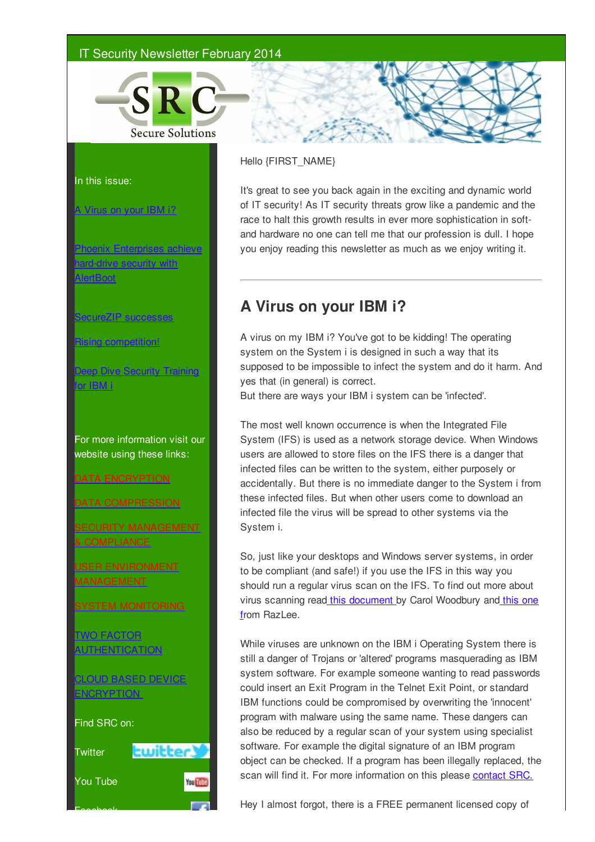## IT Security Newsletter February 2014



### In this issue:

### A Virus on your IBM i?

Phoenix Enterprises achieve drive security with **AlertBoot** 

SecureZIP successes

Rising competition!

Deep Dive Security Training for IBM i

For more information visit our website using these links:

## DATA ENCRYPTION

DATA COMPRESSION

& COMPLIANCE

USER ENVIRONMENT

SYSTEM MONITORING

TWO FACTOR **AUTHENTICATION** 

CLOUD BASED DEVICE ENCRYPTION

Find SRC on:

Facebook





## Hello {FIRST\_NAME}

It's great to see you back again in the exciting and dynamic world of IT security! As IT security threats grow like a pandemic and the race to halt this growth results in ever more sophistication in softand hardware no one can tell me that our profession is dull. I hope you enjoy reading this newsletter as much as we enjoy writing it.

# **A Virus on your IBM i?**

A virus on my IBM i? You've got to be kidding! The operating system on the System i is designed in such a way that its supposed to be impossible to infect the system and do it harm. And yes that (in general) is correct.

But there are ways your IBM i system can be 'infected'.

The most well known occurrence is when the Integrated File System (IFS) is used as a network storage device. When Windows users are allowed to store files on the IFS there is a danger that infected files can be written to the system, either purposely or accidentally. But there is no immediate danger to the System i from these infected files. But when other users come to download an infected file the virus will be spread to other systems via the System i.

So, just like your desktops and Windows server systems, in order to be compliant (and safe!) if you use the IFS in this way you should run a regular virus scan on the IFS. To find out more about virus scanning read this document by Carol Woodbury and this one from RazLee.

While viruses are unknown on the IBM i Operating System there is still a danger of Trojans or 'altered' programs masquerading as IBM system software. For example someone wanting to read passwords could insert an Exit Program in the Telnet Exit Point, or standard IBM functions could be compromised by overwriting the 'innocent' program with malware using the same name. These dangers can also be reduced by a regular scan of your system using specialist software. For example the digital signature of an IBM program object can be checked. If a program has been illegally replaced, the scan will find it. For more information on this please contact SRC.

Hey I almost forgot, there is a FREE permanent licensed copy of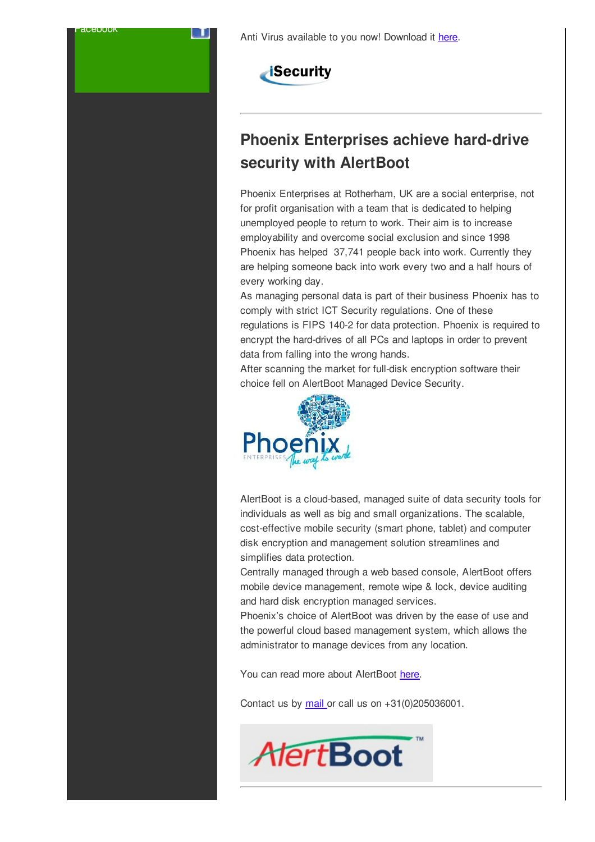



Facebook

# **Phoenix Enterprises achieve hard-drive security with AlertBoot**

Phoenix Enterprises at Rotherham, UK are a social enterprise, not for profit organisation with a team that is dedicated to helping unemployed people to return to work. Their aim is to increase employability and overcome social exclusion and since 1998 Phoenix has helped 37,741 people back into work. Currently they are helping someone back into work every two and a half hours of every working day.

As managing personal data is part of their business Phoenix has to comply with strict ICT Security regulations. One of these regulations is FIPS 140-2 for data protection. Phoenix is required to encrypt the hard-drives of all PCs and laptops in order to prevent data from falling into the wrong hands.

After scanning the market for full-disk encryption software their choice fell on AlertBoot Managed Device Security.



AlertBoot is a cloud-based, managed suite of data security tools for individuals as well as big and small organizations. The scalable, cost-effective mobile security (smart phone, tablet) and computer disk encryption and management solution streamlines and simplifies data protection.

Centrally managed through a web based console, AlertBoot offers mobile device management, remote wipe & lock, device auditing and hard disk encryption managed services.

Phoenix's choice of AlertBoot was driven by the ease of use and the powerful cloud based management system, which allows the administrator to manage devices from any location.

You can read more about AlertBoot here.

Contact us by mail or call us on +31(0)205036001.

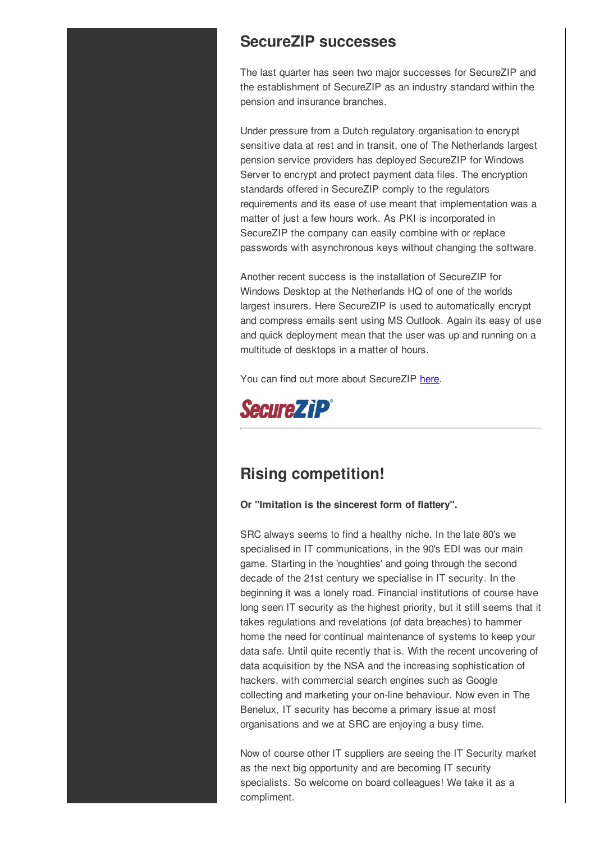## **SecureZIP successes**

The last quarter has seen two major successes for SecureZIP and the establishment of SecureZIP as an industry standard within the pension and insurance branches.

Under pressure from a Dutch regulatory organisation to encrypt sensitive data at rest and in transit, one of The Netherlands largest pension service providers has deployed SecureZIP for Windows Server to encrypt and protect payment data files. The encryption standards offered in SecureZIP comply to the regulators requirements and its ease of use meant that implementation was a matter of just a few hours work. As PKI is incorporated in SecureZIP the company can easily combine with or replace passwords with asynchronous keys without changing the software.

Another recent success is the installation of SecureZIP for Windows Desktop at the Netherlands HQ of one of the worlds largest insurers. Here SecureZIP is used to automatically encrypt and compress emails sent using MS Outlook. Again its easy of use and quick deployment mean that the user was up and running on a multitude of desktops in a matter of hours.

You can find out more about SecureZIP here.



# **Rising competition!**

**Or "Imitation is the sincerest form of flattery".**

SRC always seems to find a healthy niche. In the late 80's we specialised in IT communications, in the 90's EDI was our main game. Starting in the 'noughties' and going through the second decade of the 21st century we specialise in IT security. In the beginning it was a lonely road. Financial institutions of course have long seen IT security as the highest priority, but it still seems that it takes regulations and revelations (of data breaches) to hammer home the need for continual maintenance of systems to keep your data safe. Until quite recently that is. With the recent uncovering of data acquisition by the NSA and the increasing sophistication of hackers, with commercial search engines such as Google collecting and marketing your on-line behaviour. Now even in The Benelux, IT security has become a primary issue at most organisations and we at SRC are enjoying a busy time.

Now of course other IT suppliers are seeing the IT Security market as the next big opportunity and are becoming IT security specialists. So welcome on board colleagues! We take it as a compliment.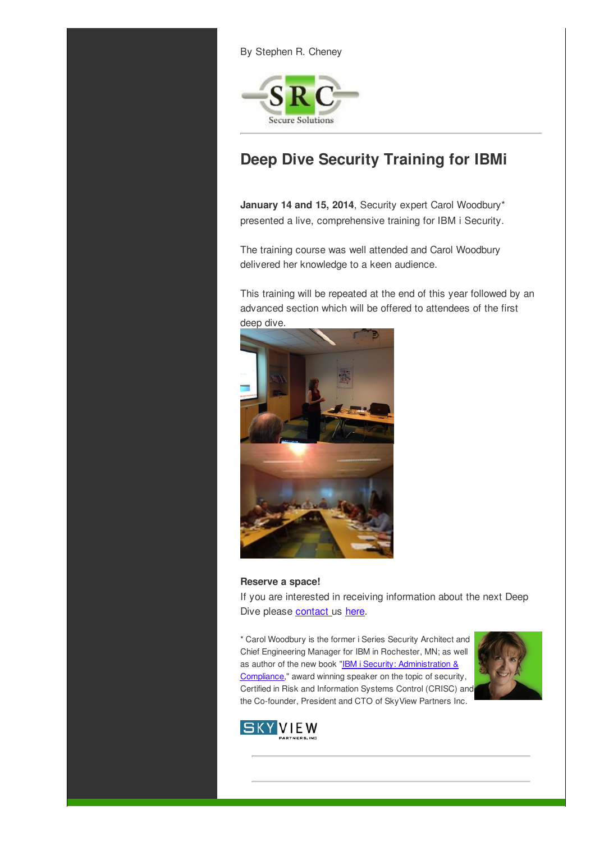By Stephen R. Cheney



# **Deep Dive Security Training for IBMi**

**January 14 and 15, 2014**, Security expert Carol Woodbury\* presented a live, comprehensive training for IBM i Security.

The training course was well attended and Carol Woodbury delivered her knowledge to a keen audience.

This training will be repeated at the end of this year followed by an advanced section which will be offered to attendees of the first deep dive.



#### **Reserve a space!**

If you are interested in receiving information about the next Deep Dive please contact us here.

\* Carol Woodbury is the former i Series Security Architect and Chief Engineering Manager for IBM in Rochester, MN; as well as author of the new book "IBM i Security: Administration & Compliance," award winning speaker on the topic of security, Certified in Risk and Information Systems Control (CRISC) and the Co-founder, President and CTO of SkyView Partners Inc.